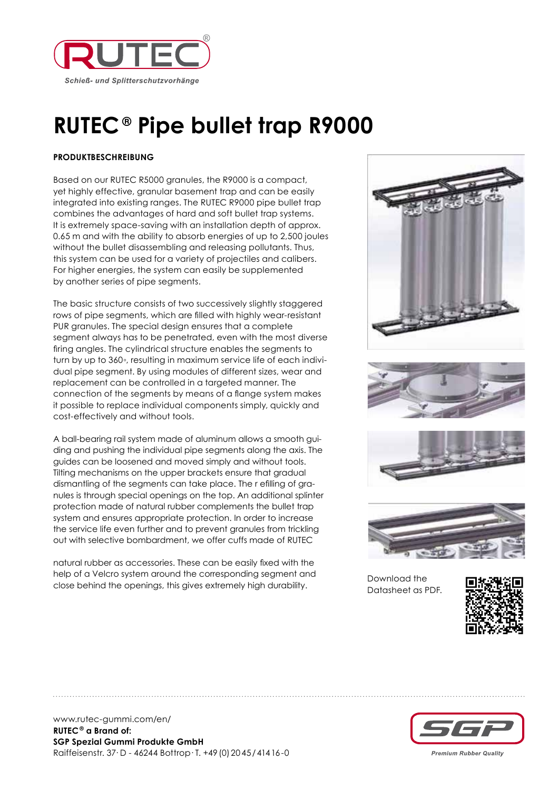

## **RUTEC® Pipe bullet trap R9000**

## **PRODUKTBESCHREIBUNG**

Based on our RUTEC R5000 granules, the R9000 is a compact, yet highly effective, granular basement trap and can be easily integrated into existing ranges. The RUTEC R9000 pipe bullet trap combines the advantages of hard and soft bullet trap systems. It is extremely space-saving with an installation depth of approx. 0.65 m and with the ability to absorb energies of up to 2,500 joules without the bullet disassembling and releasing pollutants. Thus, this system can be used for a variety of projectiles and calibers. For higher energies, the system can easily be supplemented by another series of pipe segments.

The basic structure consists of two successively slightly staggered rows of pipe segments, which are filled with highly wear-resistant PUR granules. The special design ensures that a complete segment always has to be penetrated, even with the most diverse firing angles. The cylindrical structure enables the segments to turn by up to 360◦, resulting in maximum service life of each individual pipe segment. By using modules of different sizes, wear and replacement can be controlled in a targeted manner. The connection of the segments by means of a flange system makes it possible to replace individual components simply, quickly and cost-effectively and without tools.

A ball-bearing rail system made of aluminum allows a smooth guiding and pushing the individual pipe segments along the axis. The guides can be loosened and moved simply and without tools. Tilting mechanisms on the upper brackets ensure that gradual dismantling of the segments can take place. The r efilling of granules is through special openings on the top. An additional splinter protection made of natural rubber complements the bullet trap system and ensures appropriate protection. In order to increase the service life even further and to prevent granules from trickling out with selective bombardment, we offer cuffs made of RUTEC

natural rubber as accessories. These can be easily fixed with the help of a Velcro system around the corresponding segment and close behind the openings, this gives extremely high durability.







www.rutec-gummi.com/en/ **RUTEC® a Brand of: SGP Spezial Gummi Produkte GmbH** Raiffeisenstr. 37· D - 46244 Bottrop· T. +49(0)2045/41416-0

**Premium Rubber Quality**